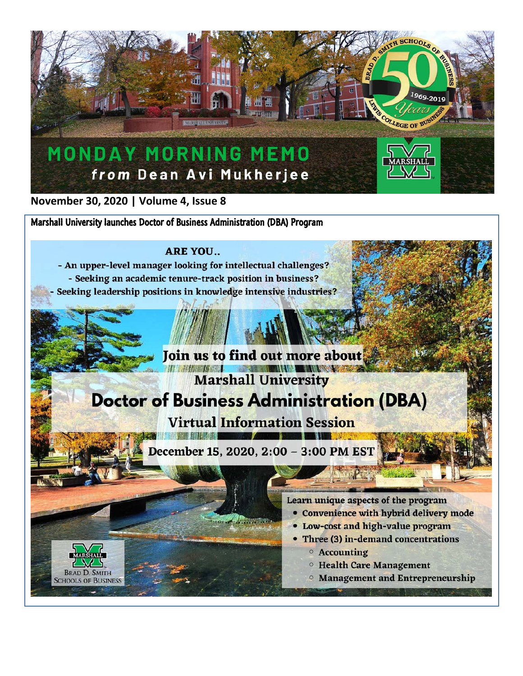

November 30, 2020 | Volume 4, Issue 8

**BRAD D. SMITH** 

**SCHOOLS OF BUSINESS** 

Marshall University launches Doctor of Business Administration (DBA) Program

## **ARE YOU..**

- An upper-level manager looking for intellectual challenges? - Seeking an academic tenure-track position in business? Seeking leadership positions in knowledge intensive industries?

December 15, 2020, 2:00 - 3:00 PM EST

Join us to find out more about

**Doctor of Business Administration (DBA)** 

**Virtual Information Session** 

**THE MANUSCRIPT**<br>Marshall University

Learn unique aspects of the program

- Convenience with hybrid delivery mode
- Low-cost and high-value program
- Three (3) in-demand concentrations
	- **O** Accounting
	- **Example 1 Highland Health Care Management**
	- **O Management and Entrepreneurship**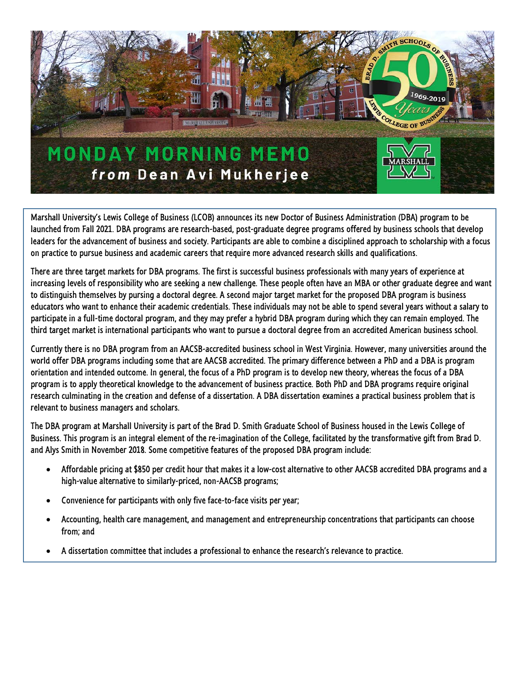

Marshall University's Lewis College of Business (LCOB) announces its new Doctor of Business Administration (DBA) program to be launched from Fall 2021. DBA programs are research-based, post-graduate degree programs offered by business schools that develop leaders for the advancement of business and society. Participants are able to combine a disciplined approach to scholarship with a focus on practice to pursue business and academic careers that require more advanced research skills and qualifications.

There are three target markets for DBA programs. The first is successful business professionals with many years of experience at increasing levels of responsibility who are seeking a new challenge. These people often have an MBA or other graduate degree and want to distinguish themselves by pursing a doctoral degree. A second major target market for the proposed DBA program is business educators who want to enhance their academic credentials. These individuals may not be able to spend several years without a salary to participate in a full-time doctoral program, and they may prefer a hybrid DBA program during which they can remain employed. The third target market is international participants who want to pursue a doctoral degree from an accredited American business school.

Currently there is no DBA program from an AACSB-accredited business school in West Virginia. However, many universities around the world offer DBA programs including some that are AACSB accredited. The primary difference between a PhD and a DBA is program orientation and intended outcome. In general, the focus of a PhD program is to develop new theory, whereas the focus of a DBA program is to apply theoretical knowledge to the advancement of business practice. Both PhD and DBA programs require original research culminating in the creation and defense of a dissertation. A DBA dissertation examines a practical business problem that is relevant to business managers and scholars.

The DBA program at Marshall University is part of the Brad D. Smith Graduate School of Business housed in the Lewis College of Business. This program is an integral element of the re-imagination of the College, facilitated by the transformative gift from Brad D. and Alys Smith in November 2018. Some competitive features of the proposed DBA program include:

- Affordable pricing at \$850 per credit hour that makes it a low-cost alternative to other AACSB accredited DBA programs and a high-value alternative to similarly-priced, non-AACSB programs;
- Convenience for participants with only five face-to-face visits per year;
- Accounting, health care management, and management and entrepreneurship concentrations that participants can choose from; and
- A dissertation committee that includes a professional to enhance the research's relevance to practice.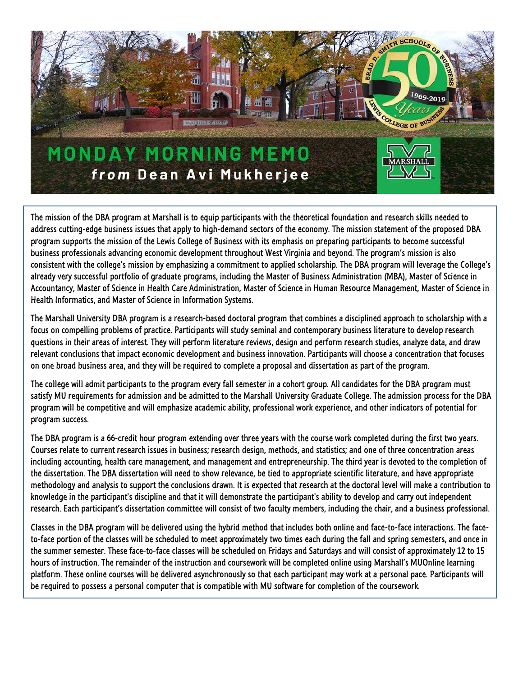

The mission of the DBA program at Marshall is to equip participants with the theoretical foundation and research skills needed to address cutting-edge business issues that apply to high-demand sectors of the economy. The mission statement of the proposed DBA program supports the mission of the Lewis College of Business with its emphasis on preparing participants to become successful business professionals advancing economic development throughout West Virginia and beyond. The program's mission is also consistent with the college's mission by emphasizing a commitment to applied scholarship. The DBA program will leverage the College's already very successful portfolio of graduate programs, including the Master of Business Administration (MBA), Master of Science in Accountancy, Master of Science in Health Care Administration, Master of Science in Human Resource Management, Master of Science in Health Informatics, and Master of Science in Information Systems.

The Marshall University DBA program is a research-based doctoral program that combines a disciplined approach to scholarship with a focus on compelling problems of practice. Participants will study seminal and contemporary business literature to develop research questions in their areas of interest. They will perform literature reviews, design and perform research studies, analyze data, and draw relevant conclusions that impact economic development and business innovation. Participants will choose a concentration that focuses on one broad business area, and they will be required to complete a proposal and dissertation as part of the program.

The college will admit participants to the program every fall semester in a cohort group. All candidates for the DBA program must satisfy MU requirements for admission and be admitted to the Marshall University Graduate College. The admission process for the DBA program will be competitive and will emphasize academic ability, professional work experience, and other indicators of potential for program success.

The DBA program is a 66-credit hour program extending over three years with the course work completed during the first two years. Courses relate to current research issues in business; research design, methods, and statistics; and one of three concentration areas including accounting, health care management, and management and entrepreneurship. The third year is devoted to the completion of the dissertation. The DBA dissertation will need to show relevance, be tied to appropriate scientific literature, and have appropriate methodology and analysis to support the conclusions drawn. It is expected that research at the doctoral level will make a contribution to knowledge in the participant's discipline and that it will demonstrate the participant's ability to develop and carry out independent research. Each participant's dissertation committee will consist of two faculty members, including the chair, and a business professional.

Classes in the DBA program will be delivered using the hybrid method that includes both online and face-to-face interactions. The faceto-face portion of the classes will be scheduled to meet approximately two times each during the fall and spring semesters, and once in the summer semester. These face-to-face classes will be scheduled on Fridays and Saturdays and will consist of approximately 12 to 15 hours of instruction. The remainder of the instruction and coursework will be completed online using Marshall's MUOnline learning platform. These online courses will be delivered asynchronously so that each participant may work at a personal pace. Participants will be required to possess a personal computer that is compatible with MU software for completion of the coursework.